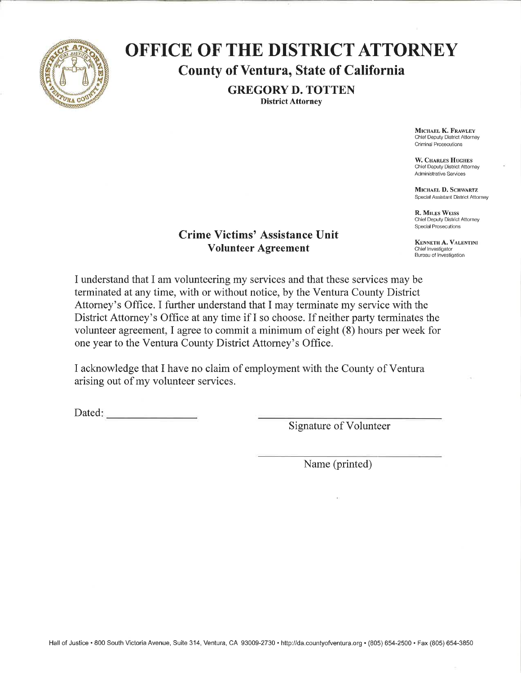

# **OFFICE OF THE DISTRICT ATTORNEY County of Ventura, State of California**

**GREGORY D. TOTTEN District Attorney** 

> MICHAEL K. FRAWLEY Chief Deputy District Attorney Criminal Prosecutions

W. CHARLES HUGHES Chief Deputy District Attorney Administrative Services

MICHAEL D. SCHWARTZ Special Assistant District Attorney

**R. MILES WEISS** Chief Deputy District Attorney **Special Prosecutions** 

KENNETH A. VALENTINI Chief Investigator **Bureau of Investigation** 

### **Crime Victims' Assistance Unit Volunteer Agreement**

I understand that I am volunteering my services and that these services may be terminated at any time, with or without notice, by the Ventura County District Attorney's Office. I further understand that I may terminate my service with the District Attorney's Office at any time if I so choose. If neither party terminates the volunteer agreement, I agree to commit a minimum of eight (8) hours per week for one year to the Ventura County District Attorney's Office.

I acknowledge that I have no claim of employment with the County of Ventura arising out of my volunteer services.

Dated:

**Signature of Volunteer** 

Name (printed)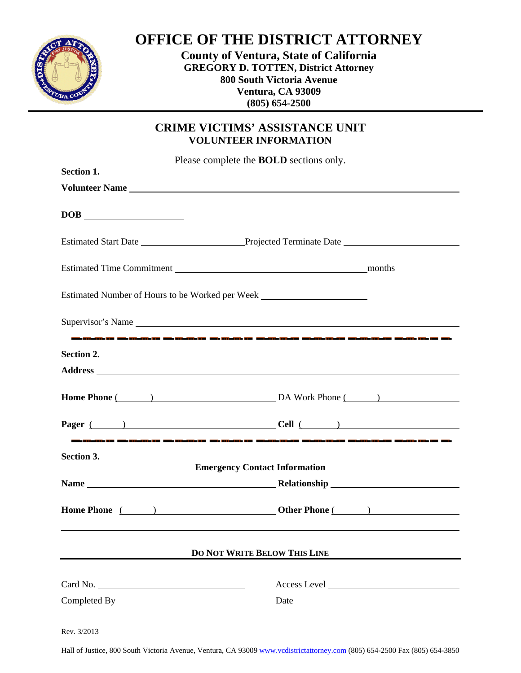

## **OFFICE OF THE DISTRICT ATTORNEY**

**County of Ventura, State of California GREGORY D. TOTTEN, District Attorney 800 South Victoria Avenue Ventura, CA 93009 (805) 654-2500**

## **CRIME VICTIMS' ASSISTANCE UNIT VOLUNTEER INFORMATION**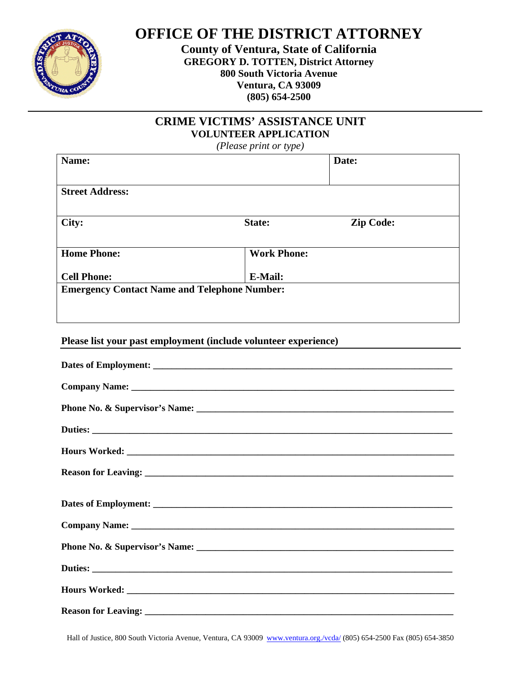

**OFFICE OF THE DISTRICT ATTORNEY** 

**County of Ventura, State of California GREGORY D. TOTTEN, District Attorney 800 South Victoria Avenue Ventura, CA 93009 (805) 654-2500**

## **CRIME VICTIMS' ASSISTANCE UNIT VOLUNTEER APPLICATION**

*(Please print or type)* 

| Name:                                               |                    | Date:            |  |  |  |
|-----------------------------------------------------|--------------------|------------------|--|--|--|
|                                                     |                    |                  |  |  |  |
| <b>Street Address:</b>                              |                    |                  |  |  |  |
|                                                     |                    |                  |  |  |  |
| City:                                               | State:             | <b>Zip Code:</b> |  |  |  |
|                                                     |                    |                  |  |  |  |
| <b>Home Phone:</b>                                  | <b>Work Phone:</b> |                  |  |  |  |
|                                                     |                    |                  |  |  |  |
| <b>Cell Phone:</b>                                  | <b>E-Mail:</b>     |                  |  |  |  |
| <b>Emergency Contact Name and Telephone Number:</b> |                    |                  |  |  |  |
|                                                     |                    |                  |  |  |  |
|                                                     |                    |                  |  |  |  |
|                                                     |                    |                  |  |  |  |

#### **Please list your past employment (include volunteer experience)**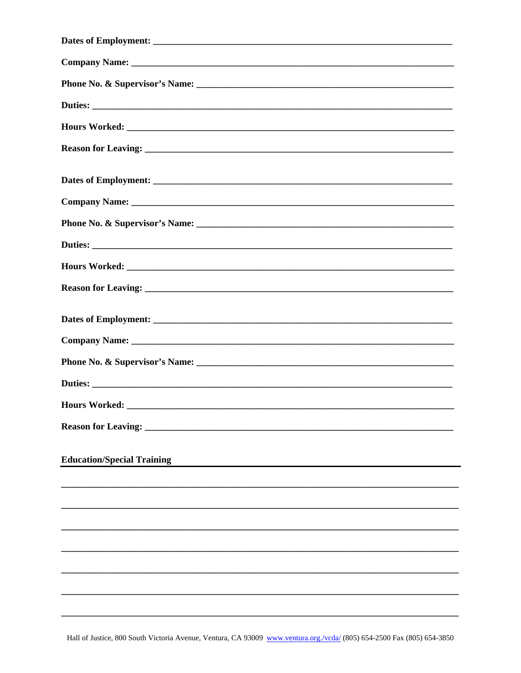| <b>Education/Special Training</b> |
|-----------------------------------|
|                                   |
|                                   |
|                                   |
|                                   |
|                                   |
|                                   |
|                                   |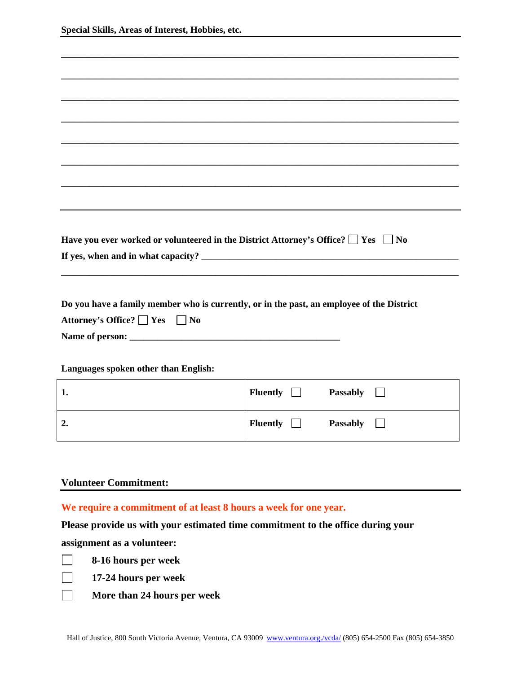|                               | Have you ever worked or volunteered in the District Attorney's Office? $\Box$ Yes $\Box$<br>N <sub>0</sub> |
|-------------------------------|------------------------------------------------------------------------------------------------------------|
|                               |                                                                                                            |
|                               |                                                                                                            |
|                               |                                                                                                            |
|                               |                                                                                                            |
|                               |                                                                                                            |
|                               | Do you have a family member who is currently, or in the past, an employee of the District                  |
| Attorney's Office? ■ Yes ■ No |                                                                                                            |
|                               |                                                                                                            |
|                               |                                                                                                            |
|                               |                                                                                                            |
|                               | Languages spoken other than English:                                                                       |
|                               |                                                                                                            |

| ı.               | Fluently $\Box$ | <b>Passably</b> |
|------------------|-----------------|-----------------|
| $\overline{2}$ . | Fluently $\Box$ | <b>Passably</b> |

#### **Volunteer Commitment:**

**We require a commitment of at least 8 hours a week for one year.**

**Please provide us with your estimated time commitment to the office during your** 

**assignment as a volunteer:** 

- **8-16 hours per week**
- 
- 
- 
- **17-24 hours per week**

 **More than 24 hours per week**